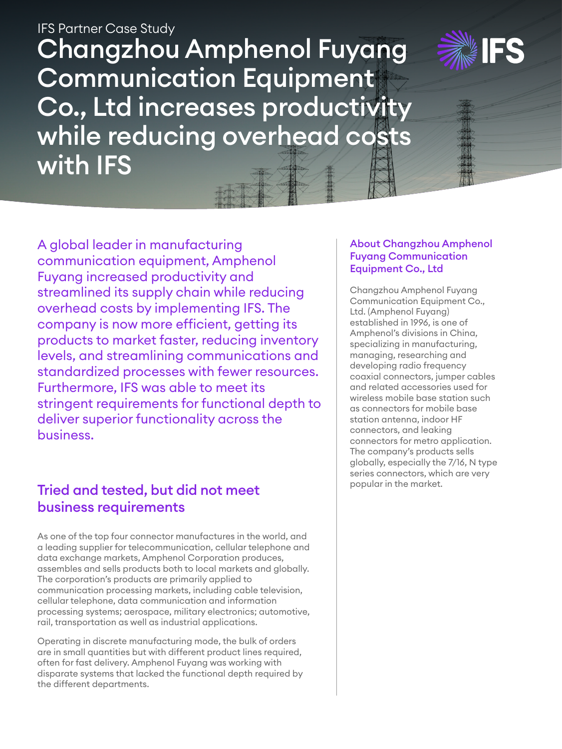Changzhou Amphenol Fuyang Communication Equipment Co., Ltd increases productivity while reducing overhead costs with IFS IFS Partner Case Study



# Tried and tested, but did not meet business requirements

As one of the top four connector manufactures in the world, and a leading supplier for telecommunication, cellular telephone and data exchange markets, Amphenol Corporation produces, assembles and sells products both to local markets and globally. The corporation's products are primarily applied to communication processing markets, including cable television, cellular telephone, data communication and information processing systems; aerospace, military electronics; automotive, rail, transportation as well as industrial applications.

Operating in discrete manufacturing mode, the bulk of orders are in small quantities but with different product lines required, often for fast delivery. Amphenol Fuyang was working with disparate systems that lacked the functional depth required by the different departments.

### About Changzhou Amphenol Fuyang Communication Equipment Co., Ltd

Changzhou Amphenol Fuyang Communication Equipment Co., Ltd. (Amphenol Fuyang) established in 1996, is one of Amphenol's divisions in China, specializing in manufacturing, managing, researching and developing radio frequency coaxial connectors, jumper cables and related accessories used for wireless mobile base station such as connectors for mobile base station antenna, indoor HF connectors, and leaking connectors for metro application. The company's products sells globally, especially the 7/16, N type series connectors, which are very popular in the market.

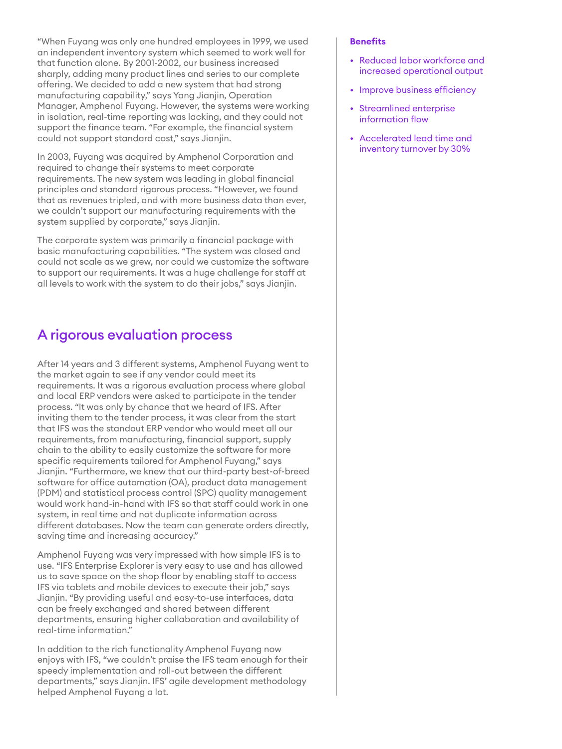"When Fuyang was only one hundred employees in 1999, we used an independent inventory system which seemed to work well for that function alone. By 2001-2002, our business increased sharply, adding many product lines and series to our complete offering. We decided to add a new system that had strong manufacturing capability," says Yang Jianjin, Operation Manager, Amphenol Fuyang. However, the systems were working in isolation, real-time reporting was lacking, and they could not support the finance team. "For example, the financial system could not support standard cost," says Jianjin.

In 2003, Fuyang was acquired by Amphenol Corporation and required to change their systems to meet corporate requirements. The new system was leading in global financial principles and standard rigorous process. "However, we found that as revenues tripled, and with more business data than ever, we couldn't support our manufacturing requirements with the system supplied by corporate," says Jianjin.

The corporate system was primarily a financial package with basic manufacturing capabilities. "The system was closed and could not scale as we grew, nor could we customize the software to support our requirements. It was a huge challenge for staff at all levels to work with the system to do their jobs," says Jianjin.

### A rigorous evaluation process

After 14 years and 3 different systems, Amphenol Fuyang went to the market again to see if any vendor could meet its requirements. It was a rigorous evaluation process where global and local ERP vendors were asked to participate in the tender process. "It was only by chance that we heard of IFS. After inviting them to the tender process, it was clear from the start that IFS was the standout ERP vendor who would meet all our requirements, from manufacturing, financial support, supply chain to the ability to easily customize the software for more specific requirements tailored for Amphenol Fuyang," says Jianjin. "Furthermore, we knew that our third-party best-of-breed software for office automation (OA), product data management (PDM) and statistical process control (SPC) quality management would work hand-in-hand with IFS so that staff could work in one system, in real time and not duplicate information across different databases. Now the team can generate orders directly, saving time and increasing accuracy."

Amphenol Fuyang was very impressed with how simple IFS is to use. "IFS Enterprise Explorer is very easy to use and has allowed us to save space on the shop floor by enabling staff to access IFS via tablets and mobile devices to execute their job," says Jianjin. "By providing useful and easy-to-use interfaces, data can be freely exchanged and shared between different departments, ensuring higher collaboration and availability of real-time information."

In addition to the rich functionality Amphenol Fuyang now enjoys with IFS, "we couldn't praise the IFS team enough for their speedy implementation and roll-out between the different departments," says Jianjin. IFS' agile development methodology helped Amphenol Fuyang a lot.

#### **Benefits**

- Reduced labor workforce and increased operational output
- Improve business efficiency
- Streamlined enterprise information flow
- Accelerated lead time and inventory turnover by 30%